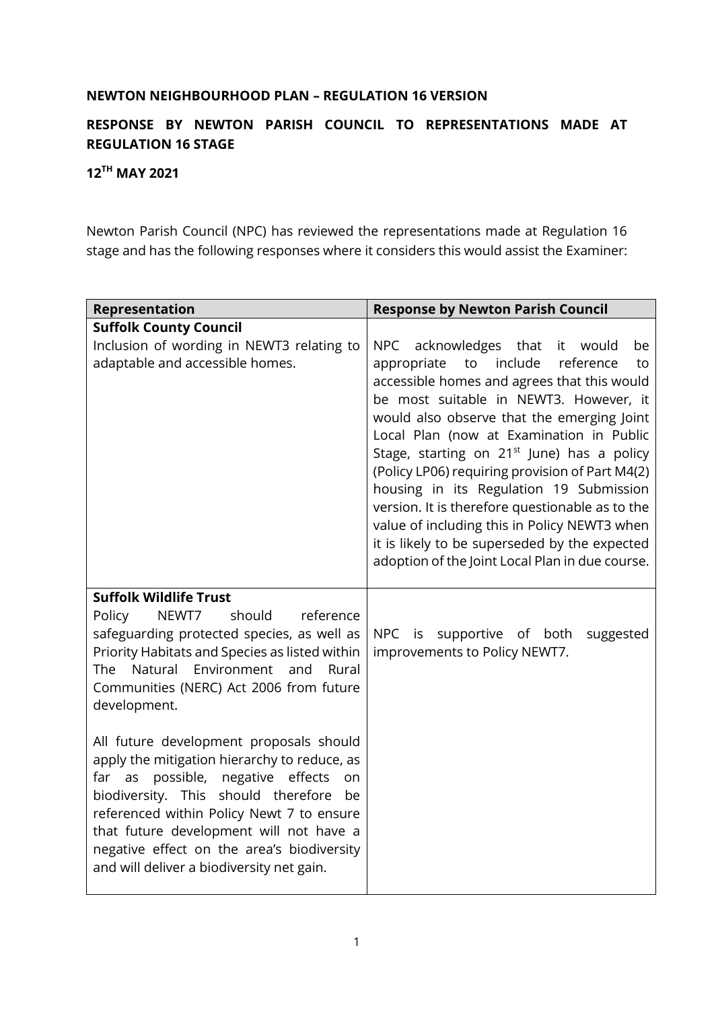## **NEWTON NEIGHBOURHOOD PLAN – REGULATION 16 VERSION**

## **RESPONSE BY NEWTON PARISH COUNCIL TO REPRESENTATIONS MADE AT REGULATION 16 STAGE**

## **12TH MAY 2021**

Newton Parish Council (NPC) has reviewed the representations made at Regulation 16 stage and has the following responses where it considers this would assist the Examiner:

| Representation                                                                                                                                                                                                                                                                                                                                                              | <b>Response by Newton Parish Council</b>                                                                                                                                                                                                                                                                                                                                                                                                                                                                                                                                                                                                        |
|-----------------------------------------------------------------------------------------------------------------------------------------------------------------------------------------------------------------------------------------------------------------------------------------------------------------------------------------------------------------------------|-------------------------------------------------------------------------------------------------------------------------------------------------------------------------------------------------------------------------------------------------------------------------------------------------------------------------------------------------------------------------------------------------------------------------------------------------------------------------------------------------------------------------------------------------------------------------------------------------------------------------------------------------|
| <b>Suffolk County Council</b>                                                                                                                                                                                                                                                                                                                                               |                                                                                                                                                                                                                                                                                                                                                                                                                                                                                                                                                                                                                                                 |
| Inclusion of wording in NEWT3 relating to<br>adaptable and accessible homes.                                                                                                                                                                                                                                                                                                | acknowledges that<br>NPC<br>it would<br>be<br>include<br>appropriate<br>to<br>reference<br>to<br>accessible homes and agrees that this would<br>be most suitable in NEWT3. However, it<br>would also observe that the emerging Joint<br>Local Plan (now at Examination in Public<br>Stage, starting on 21 <sup>st</sup> June) has a policy<br>(Policy LP06) requiring provision of Part M4(2)<br>housing in its Regulation 19 Submission<br>version. It is therefore questionable as to the<br>value of including this in Policy NEWT3 when<br>it is likely to be superseded by the expected<br>adoption of the Joint Local Plan in due course. |
| <b>Suffolk Wildlife Trust</b><br>NEWT7<br>should<br>reference<br>Policy<br>safeguarding protected species, as well as<br>Priority Habitats and Species as listed within<br>Natural Environment<br>The<br>and<br>Rural<br>Communities (NERC) Act 2006 from future<br>development.<br>All future development proposals should<br>apply the mitigation hierarchy to reduce, as | NPC is<br>supportive of both<br>suggested<br>improvements to Policy NEWT7.                                                                                                                                                                                                                                                                                                                                                                                                                                                                                                                                                                      |
| possible, negative effects<br>far<br>as<br><b>on</b><br>biodiversity. This should therefore<br>be<br>referenced within Policy Newt 7 to ensure<br>that future development will not have a<br>negative effect on the area's biodiversity<br>and will deliver a biodiversity net gain.                                                                                        |                                                                                                                                                                                                                                                                                                                                                                                                                                                                                                                                                                                                                                                 |